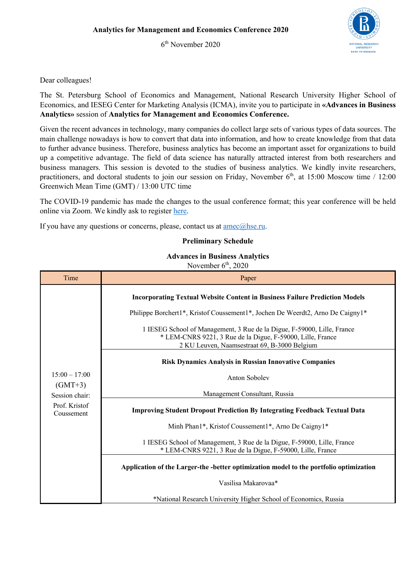6th November 2020



## Dear colleagues!

The St. Petersburg School of Economics and Management, National Research University Higher School of Economics, and IESEG Center for Marketing Analysis (ICMA), invite you to participate in **«Advances in Business Analytics»** session of **Analytics for Management and Economics Conference.**

Given the recent advances in technology, many companies do collect large sets of various types of data sources. The main challenge nowadays is how to convert that data into information, and how to create knowledge from that data to further advance business. Therefore, business analytics has become an important asset for organizations to build up a competitive advantage. The field of data science has naturally attracted interest from both researchers and business managers. This session is devoted to the studies of business analytics. We kindly invite researchers, practitioners, and doctoral students to join our session on Friday, November  $6<sup>th</sup>$ , at 15:00 Moscow time / 12:00 Greenwich Mean Time (GMT) / 13:00 UTC time

The COVID-19 pandemic has made the changes to the usual conference format; this year conference will be held online via Zoom. We kindly ask to register here.

If you have any questions or concerns, please, contact us at  $\text{amec}(a)$ hse.ru.

## **Preliminary Schedule**

## **Advances in Business Analytics**

November  $6<sup>th</sup>$ , 2020

| Time                         | Paper                                                                                                                                                                                 |
|------------------------------|---------------------------------------------------------------------------------------------------------------------------------------------------------------------------------------|
| $15:00 - 17:00$<br>$(GMT+3)$ | <b>Incorporating Textual Website Content in Business Failure Prediction Models</b>                                                                                                    |
|                              | Philippe Borchert1*, Kristof Coussement1*, Jochen De Weerdt2, Arno De Caigny1*                                                                                                        |
|                              | 1 IESEG School of Management, 3 Rue de la Digue, F-59000, Lille, France<br>* LEM-CNRS 9221, 3 Rue de la Digue, F-59000, Lille, France<br>2 KU Leuven, Naamsestraat 69, B-3000 Belgium |
|                              | <b>Risk Dynamics Analysis in Russian Innovative Companies</b>                                                                                                                         |
|                              | Anton Sobolev                                                                                                                                                                         |
| Session chair:               | Management Consultant, Russia                                                                                                                                                         |
| Prof. Kristof<br>Coussement  | <b>Improving Student Dropout Prediction By Integrating Feedback Textual Data</b>                                                                                                      |
|                              | Minh Phan1*, Kristof Coussement1*, Arno De Caigny1*                                                                                                                                   |
|                              | 1 IESEG School of Management, 3 Rue de la Digue, F-59000, Lille, France<br>* LEM-CNRS 9221, 3 Rue de la Digue, F-59000, Lille, France                                                 |
|                              | Application of the Larger-the -better optimization model to the portfolio optimization                                                                                                |
|                              | Vasilisa Makarovaa*                                                                                                                                                                   |
|                              | *National Research University Higher School of Economics, Russia                                                                                                                      |